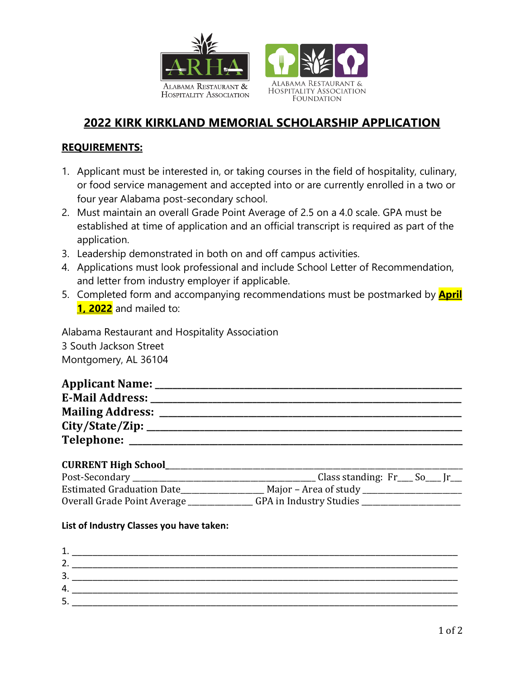

# **2022 KIRK KIRKLAND MEMORIAL SCHOLARSHIP APPLICATION**

## **REQUIREMENTS:**

- 1. Applicant must be interested in, or taking courses in the field of hospitality, culinary, or food service management and accepted into or are currently enrolled in a two or four year Alabama post-secondary school.
- 2. Must maintain an overall Grade Point Average of 2.5 on a 4.0 scale. GPA must be established at time of application and an official transcript is required as part of the application.
- 3. Leadership demonstrated in both on and off campus activities.
- 4. Applications must look professional and include School Letter of Recommendation, and letter from industry employer if applicable.
- 5. Completed form and accompanying recommendations must be postmarked by **April 1, 2022** and mailed to:

Alabama Restaurant and Hospitality Association 3 South Jackson Street Montgomery, AL 36104

| <b>Applicant Name:</b>  |  |
|-------------------------|--|
| <b>E-Mail Address:</b>  |  |
| <b>Mailing Address:</b> |  |
| City/State/Zip:         |  |
| <b>Telephone:</b>       |  |

### **CURRENT High School\_**\_\_\_\_\_\_\_\_\_\_\_\_\_\_\_\_\_\_\_\_\_\_\_\_\_\_\_\_\_\_\_\_\_\_\_\_\_\_\_\_\_\_\_\_\_\_\_\_\_\_\_\_\_\_\_\_\_\_\_\_\_\_\_\_\_\_\_\_\_\_\_\_\_\_\_\_\_

| Post-Secondary                   | Class standing: $Fr$ So $\Gamma$ |
|----------------------------------|----------------------------------|
| <b>Estimated Graduation Date</b> | Major – Area of study            |
| Overall Grade Point Average      | GPA in Industry Studies          |
|                                  |                                  |

#### **List of Industry Classes you have taken:**

| 2.<br>3 <sub>1</sub> |
|----------------------|
|                      |
|                      |
| 4.                   |
| г<br>כ               |